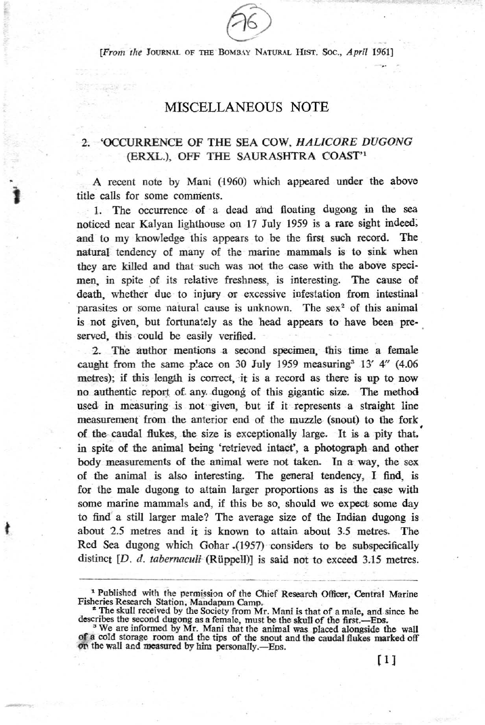**[From the JOURNAL OF THE BOMBAY NATURAL HIST. Soc., April 1961]** 

# MISCELLANEOUS NOTE

## 2. 'OCCURRENCE OF THE SEA COW, HAL/CORE DUGONG (ERXL.), OFF THE SAURASHTRA COAST"

A recent note by Mani (1960) which appeared under the above title calls for some cOmnients.

1. The occurrence of a dead and floating dugong in the sea noticed near Kalyan lighthouse on 17 July 1959 is a rare sight indeed; and to my knowledge this appears to be the first such record. The natural tendency of many of the marine mammals is to sink when they are killed and that such was not the case with the above specimen, in spite of its relative freshness, is interesting. The cause of death, whether due to injury or excessive infestation from intestinal parasites or some natural cause is unknown. The sex<sup>2</sup> of this animal is not given, but fortunately as the head appears to have been preserved, this could be easily verified.

2. The author mentions a second specimen, this time a female caught from the same place on  $30$  July 1959 measuring<sup>3</sup> 13' 4" (4.06) metres); if this length is correct, it is a record as there is up to now no authentic report of any. dugong of this gigantic size. The method used in measuring is not given, but if it represents a straight line measurement from the anterior end of the muzzle (snout) to the fork of the caudal flukes, the size is exceptionally large. It is a pity that.' in spite of the animal being 'retrieved intact', a photograph and other body measurements of the animal were not taken. In a way, the sex of the animal is also interesting. The general tendency, I find, is for the male dugong to attain larger proportions as is the case with some marine mammals and, if this be so, should we expect some day to find' a still larger male? The average size of tbe Indian dugong is about 2.5 metres and it is known to attain about 3.5 metres. The Red Sea dugong which Gohar \_(1957) considers to be subspecificaUy distinct *[D. d. tabernaculi* (Rüppell)] is said not to exceed 3.15 metres.

t

-

<sup>&</sup>lt;sup>1</sup> Published with the permission of the Chief Research Officer, Central Marine Fisheries Research Station, Mandapam Camp.

<sup>&</sup>lt;sup>2</sup> The skull received by the Society from Mr. Mani is that of a male, and since he describes the second dugong as a female, must be the skull of the first.—Eps. <sup>3</sup> We are informed by Mr. Mani that the animal was placed alongside the wall

of a cold storage room and the tips of the snout and the caudal flukes marked off on the wall and measured by him personally.—E<sub>DS</sub>.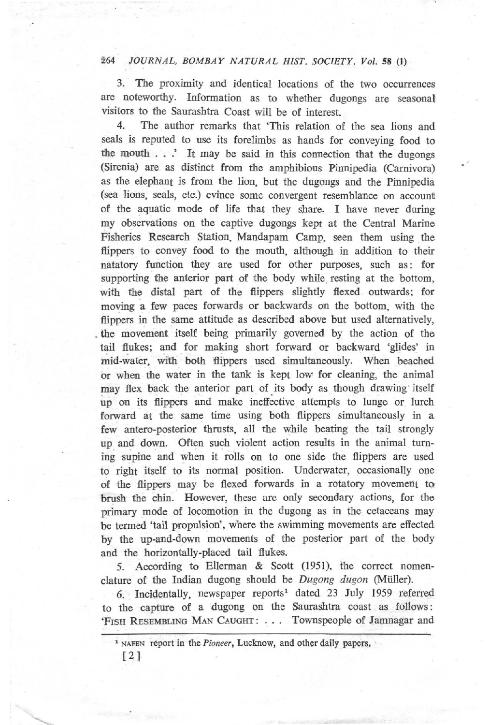## *264 JOURNAL, BOMBAY NATURAL HIST. SOCIETY, Vol.* **58** (J)

3. The proximity and identical locations of the two occurrences are noteworthy. Information as to whether dugongs are seasonal visitors to the Saurashtra Coast will be of interest.

4. The author remarks that 'This relation of the sea lions and seals is reputed to use its forelimbs as hands for conveying food to the mouth . ..' It may be said in this connection that the dugongs (Sirenia) are as distinct from the amphibious Pinnipedia (Carnivora) as the elephant is from the lion, but the dugongs and the Pinnipedia **(sea lions, seals, etc.) evince some convergent resemblance on account!**  of the aquatic mode of life that they share. I have never during my observations on the captive dugongs kept at the Central Marine Fisheries Research Station, Mandapam Camp, seen them using the flippers to convey food to the mouth, although in addition to their natatory function they are used for other purposes, such as: for supporting the anterior part of the body while resting at the bottom, with the distal part of the flippers slightly flexed outwards; for moving a few paces forwards or backwards on the bottom, with the flippers in the same attitude as described above but used alternatively, . the movement itself being primarily governed by the action of the tail flukes; and for making short forward or backward 'glides' in mid-water, with both flippers used simultaneously. When beached or when the water in the tank is kept low for cleaning, the animal may flex back the anterior part of its body as though drawing itself up on its flippers and make ineffective attempts to lunge or lurch forward at the same time using both flippers simultaneously in a few antero-posterior thrusts, all the while beating the tail strongly up and down. Often such violent action results in the animal turning supine and when it rolls on to one side the flippers are used to right itself to its normal position. Underwater, occasionalJy one of the flippers may be flexed forwards in a rotatory movement to brush the chin. However, these are only secondary actions, for the primary mode of locomotion in the dugong as in the cetaceans may be termed 'tail propulsion', where the swimming movements are effected by the up-and-down movements of the posterior part of the body and the horizontalJy-placed tail fiukes.

5. According to Ellerman & Scott (1951), the correct nomenclature of the Indian dugong should be Dugong dugon (Müller).

6. IncidentalJy, newspaper reports' dated 23 July 1959 referred to the capture of a dugong on the Saurashtra coast as follows: 'FISH RESEMBLING MAN CAUGHT : . . . Townspeople of Jamnagar and

**<sup>1</sup> NAFEN report in the** *Pioneer,* **Lucknow, and other daily papers,**   $[2]$